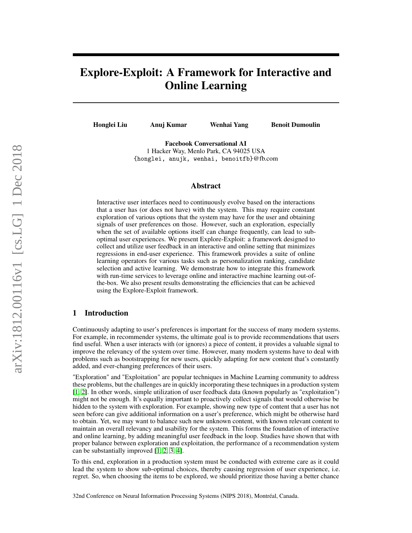# Explore-Exploit: A Framework for Interactive and Online Learning

Honglei Liu Anuj Kumar Wenhai Yang Benoit Dumoulin

Facebook Conversational AI 1 Hacker Way, Menlo Park, CA 94025 USA {honglei, anujk, wenhai, benoitfb}@fb.com

#### Abstract

Interactive user interfaces need to continuously evolve based on the interactions that a user has (or does not have) with the system. This may require constant exploration of various options that the system may have for the user and obtaining signals of user preferences on those. However, such an exploration, especially when the set of available options itself can change frequently, can lead to suboptimal user experiences. We present Explore-Exploit: a framework designed to collect and utilize user feedback in an interactive and online setting that minimizes regressions in end-user experience. This framework provides a suite of online learning operators for various tasks such as personalization ranking, candidate selection and active learning. We demonstrate how to integrate this framework with run-time services to leverage online and interactive machine learning out-ofthe-box. We also present results demonstrating the efficiencies that can be achieved using the Explore-Exploit framework.

#### 1 Introduction

Continuously adapting to user's preferences is important for the success of many modern systems. For example, in recommender systems, the ultimate goal is to provide recommendations that users find useful. When a user interacts with (or ignores) a piece of content, it provides a valuable signal to improve the relevancy of the system over time. However, many modern systems have to deal with problems such as bootstrapping for new users, quickly adapting for new content that's constantly added, and ever-changing preferences of their users.

"Exploration" and "Exploitation" are popular techniques in Machine Learning community to address these problems, but the challenges are in quickly incorporating these techniques in a production system [\[1,](#page-5-0) [2\]](#page-5-1). In other words, simple utilization of user feedback data (known popularly as "exploitation") might not be enough. It's equally important to proactively collect signals that would otherwise be hidden to the system with exploration. For example, showing new type of content that a user has not seen before can give additional information on a user's preference, which might be otherwise hard to obtain. Yet, we may want to balance such new unknown content, with known relevant content to maintain an overall relevancy and usability for the system. This forms the foundation of interactive and online learning, by adding meaningful user feedback in the loop. Studies have shown that with proper balance between exploration and exploitation, the performance of a recommendation system can be substantially improved [\[1,](#page-5-0) [2,](#page-5-1) [3,](#page-5-2) [4\]](#page-5-3).

To this end, exploration in a production system must be conducted with extreme care as it could lead the system to show sub-optimal choices, thereby causing regression of user experience, i.e. regret. So, when choosing the items to be explored, we should prioritize those having a better chance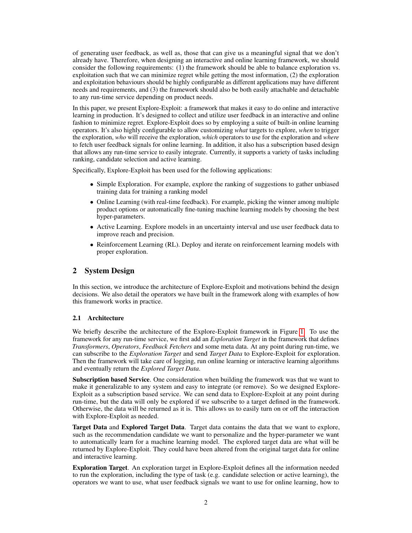of generating user feedback, as well as, those that can give us a meaningful signal that we don't already have. Therefore, when designing an interactive and online learning framework, we should consider the following requirements: (1) the framework should be able to balance exploration vs. exploitation such that we can minimize regret while getting the most information, (2) the exploration and exploitation behaviours should be highly configurable as different applications may have different needs and requirements, and (3) the framework should also be both easily attachable and detachable to any run-time service depending on product needs.

In this paper, we present Explore-Exploit: a framework that makes it easy to do online and interactive learning in production. It's designed to collect and utilize user feedback in an interactive and online fashion to minimize regret. Explore-Exploit does so by employing a suite of built-in online learning operators. It's also highly configurable to allow customizing *what* targets to explore, *when* to trigger the exploration, *who* will receive the exploration, *which* operators to use for the exploration and *where* to fetch user feedback signals for online learning. In addition, it also has a subscription based design that allows any run-time service to easily integrate. Currently, it supports a variety of tasks including ranking, candidate selection and active learning.

Specifically, Explore-Exploit has been used for the following applications:

- Simple Exploration. For example, explore the ranking of suggestions to gather unbiased training data for training a ranking model
- Online Learning (with real-time feedback). For example, picking the winner among multiple product options or automatically fine-tuning machine learning models by choosing the best hyper-parameters.
- Active Learning. Explore models in an uncertainty interval and use user feedback data to improve reach and precision.
- Reinforcement Learning (RL). Deploy and iterate on reinforcement learning models with proper exploration.

## 2 System Design

In this section, we introduce the architecture of Explore-Exploit and motivations behind the design decisions. We also detail the operators we have built in the framework along with examples of how this framework works in practice.

#### 2.1 Architecture

We briefly describe the architecture of the Explore-Exploit framework in Figure [1.](#page-2-0) To use the framework for any run-time service, we first add an *Exploration Target* in the framework that defines *Transformers*, *Operators*, *Feedback Fetchers* and some meta data. At any point during run-time, we can subscribe to the *Exploration Target* and send *Target Data* to Explore-Exploit for exploration. Then the framework will take care of logging, run online learning or interactive learning algorithms and eventually return the *Explored Target Data*.

Subscription based Service. One consideration when building the framework was that we want to make it generalizable to any system and easy to integrate (or remove). So we designed Explore-Exploit as a subscription based service. We can send data to Explore-Exploit at any point during run-time, but the data will only be explored if we subscribe to a target defined in the framework. Otherwise, the data will be returned as it is. This allows us to easily turn on or off the interaction with Explore-Exploit as needed.

Target Data and Explored Target Data. Target data contains the data that we want to explore, such as the recommendation candidate we want to personalize and the hyper-parameter we want to automatically learn for a machine learning model. The explored target data are what will be returned by Explore-Exploit. They could have been altered from the original target data for online and interactive learning.

Exploration Target. An exploration target in Explore-Exploit defines all the information needed to run the exploration, including the type of task (e.g. candidate selection or active learning), the operators we want to use, what user feedback signals we want to use for online learning, how to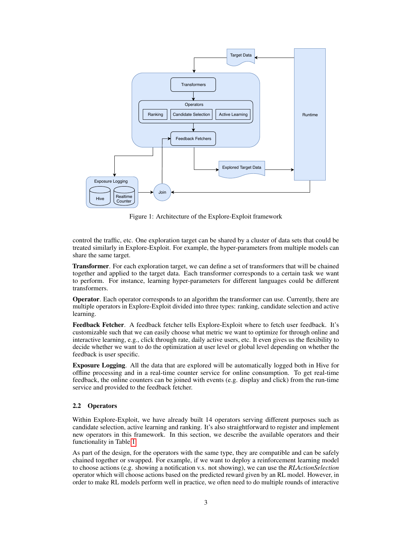<span id="page-2-0"></span>

Figure 1: Architecture of the Explore-Exploit framework

control the traffic, etc. One exploration target can be shared by a cluster of data sets that could be treated similarly in Explore-Exploit. For example, the hyper-parameters from multiple models can share the same target.

Transformer. For each exploration target, we can define a set of transformers that will be chained together and applied to the target data. Each transformer corresponds to a certain task we want to perform. For instance, learning hyper-parameters for different languages could be different transformers.

Operator. Each operator corresponds to an algorithm the transformer can use. Currently, there are multiple operators in Explore-Exploit divided into three types: ranking, candidate selection and active learning.

Feedback Fetcher. A feedback fetcher tells Explore-Exploit where to fetch user feedback. It's customizable such that we can easily choose what metric we want to optimize for through online and interactive learning, e.g., click through rate, daily active users, etc. It even gives us the flexibility to decide whether we want to do the optimization at user level or global level depending on whether the feedback is user specific.

Exposure Logging. All the data that are explored will be automatically logged both in Hive for offline processing and in a real-time counter service for online consumption. To get real-time feedback, the online counters can be joined with events (e.g. display and click) from the run-time service and provided to the feedback fetcher.

#### 2.2 Operators

Within Explore-Exploit, we have already built 14 operators serving different purposes such as candidate selection, active learning and ranking. It's also straightforward to register and implement new operators in this framework. In this section, we describe the available operators and their functionality in Table [1.](#page-3-0)

As part of the design, for the operators with the same type, they are compatible and can be safely chained together or swapped. For example, if we want to deploy a reinforcement learning model to choose actions (e.g. showing a notification v.s. not showing), we can use the *RLActionSelection* operator which will choose actions based on the predicted reward given by an RL model. However, in order to make RL models perform well in practice, we often need to do multiple rounds of interactive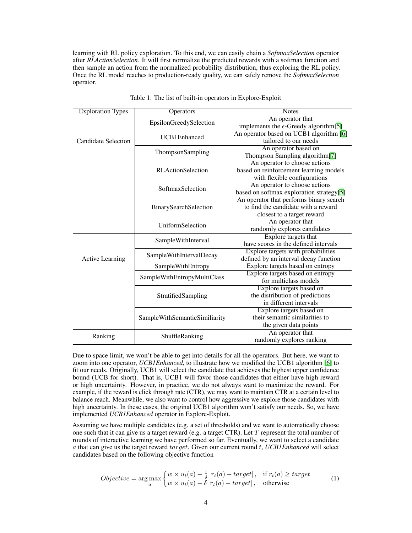learning with RL policy exploration. To this end, we can easily chain a *SoftmaxSelection* operator after *RLActionSelection*. It will first normalize the predicted rewards with a softmax function and then sample an action from the normalized probability distribution, thus exploring the RL policy. Once the RL model reaches to production-ready quality, we can safely remove the *SoftmaxSelection* operator.

| <b>Exploration Types</b>   | Operators                     | <b>Notes</b>                                   |  |  |  |
|----------------------------|-------------------------------|------------------------------------------------|--|--|--|
| <b>Candidate Selection</b> | EpsilonGreedySelection        | An operator that                               |  |  |  |
|                            |                               | implements the $\epsilon$ -Greedy algorithm[5] |  |  |  |
|                            | UCB1Enhanced                  | An operator based on UCB1 algorithm [6]        |  |  |  |
|                            |                               | tailored to our needs                          |  |  |  |
|                            | ThompsonSampling              | An operator based on                           |  |  |  |
|                            |                               | Thompson Sampling algorithm[7]                 |  |  |  |
|                            |                               | An operator to choose actions                  |  |  |  |
|                            | <b>RLActionSelection</b>      | based on reinforcement learning models         |  |  |  |
|                            |                               | with flexible configurations                   |  |  |  |
|                            | SoftmaxSelection              | An operator to choose actions                  |  |  |  |
|                            |                               | based on softmax exploration strategy[5]       |  |  |  |
|                            |                               | An operator that performs binary search        |  |  |  |
|                            | BinarySearchSelection         | to find the candidate with a reward            |  |  |  |
|                            |                               | closest to a target reward                     |  |  |  |
|                            | UniformSelection              | An operator that                               |  |  |  |
|                            |                               | randomly explores candidates                   |  |  |  |
| <b>Active Learning</b>     | SampleWithInterval            | Explore targets that                           |  |  |  |
|                            |                               | have scores in the defined intervals           |  |  |  |
|                            | SampleWithIntervalDecay       | Explore targets with probabilities             |  |  |  |
|                            |                               | defined by an interval decay function          |  |  |  |
|                            | SampleWithEntropy             | Explore targets based on entropy               |  |  |  |
|                            | SampleWithEntropyMultiClass   | Explore targets based on entropy               |  |  |  |
|                            |                               | for multiclass models                          |  |  |  |
|                            |                               | Explore targets based on                       |  |  |  |
|                            | StratifiedSampling            | the distribution of predictions                |  |  |  |
|                            |                               | in different intervals                         |  |  |  |
|                            |                               | Explore targets based on                       |  |  |  |
|                            | SampleWithSemanticSimiliarity | their semantic similarities to                 |  |  |  |
|                            |                               | the given data points                          |  |  |  |
| Ranking                    | ShuffleRanking                | An operator that                               |  |  |  |
|                            |                               | randomly explores ranking                      |  |  |  |

<span id="page-3-0"></span>

| Table 1: The list of built-in operators in Explore-Exploit |  |  |  |  |  |  |  |  |  |  |  |
|------------------------------------------------------------|--|--|--|--|--|--|--|--|--|--|--|
|------------------------------------------------------------|--|--|--|--|--|--|--|--|--|--|--|

Due to space limit, we won't be able to get into details for all the operators. But here, we want to zoom into one operator, *UCB1Enhanced*, to illustrate how we modified the UCB1 algorithm [\[6\]](#page-6-0) to fit our needs. Originally, UCB1 will select the candidate that achieves the highest upper confidence bound (UCB for short). That is, UCB1 will favor those candidates that either have high reward or high uncertainty. However, in practice, we do not always want to maximize the reward. For example, if the reward is click through rate (CTR), we may want to maintain CTR at a certain level to balance reach. Meanwhile, we also want to control how aggressive we explore those candidates with high uncertainty. In these cases, the original UCB1 algorithm won't satisfy our needs. So, we have implemented *UCB1Enhanced* operator in Explore-Exploit.

Assuming we have multiple candidates (e.g. a set of thresholds) and we want to automatically choose one such that it can give us a target reward (e.g. a target CTR). Let T represent the total number of rounds of interactive learning we have performed so far. Eventually, we want to select a candidate a that can give us the target reward target. Given our current round t, *UCB1Enhanced* will select candidates based on the following objective function

$$
Objective = \underset{a}{\arg\max} \begin{cases} w \times u_t(a) - \frac{1}{\delta} |r_t(a) - target|, & \text{if } r_t(a) \geq target \\ w \times u_t(a) - \delta |r_t(a) - target|, & \text{otherwise} \end{cases} \tag{1}
$$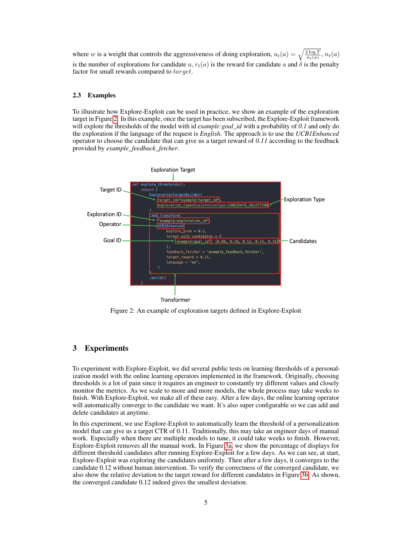where w is a weight that controls the aggressiveness of doing exploration,  $u_t(a) = \sqrt{\frac{2 \log T}{n_t(a)}}, n_t(a)$ is the number of explorations for candidate a,  $r_t(a)$  is the reward for candidate a and  $\delta$  is the penalty factor for small rewards compared to target.

#### 2.3 Examples

To illustrate how Explore-Exploit can be used in practice, we show an example of the exploration target in Figure [2.](#page-4-0) In this example, once the target has been subscribed, the Explore-Exploit framework will explore the thresholds of the model with id *example:goal\_id* with a probability of *0.1* and only do the exploration if the language of the request is *English*. The approach is to use the *UCB1Enhanced* operator to choose the candidate that can give us a target reward of *0.11* according to the feedback provided by *example\_feedback\_fetcher*.

<span id="page-4-0"></span>

Figure 2: An example of exploration targets defined in Explore-Exploit

# 3 Experiments

To experiment with Explore-Exploit, we did several public tests on learning thresholds of a personalization model with the online learning operators implemented in the framework. Originally, choosing thresholds is a lot of pain since it requires an engineer to constantly try different values and closely monitor the metrics. As we scale to more and more models, the whole process may take weeks to finish. With Explore-Exploit, we make all of these easy. After a few days, the online learning operator will automatically converge to the candidate we want. It's also super configurable so we can add and delete candidates at anytime.

In this experiment, we use Explore-Exploit to automatically learn the threshold of a personalization model that can give us a target CTR of 0.11. Traditionally, this may take an engineer days of manual work. Especially when there are multiple models to tune, it could take weeks to finish. However, Explore-Exploit removes all the manual work. In Figure [3a,](#page-5-5) we show the percentage of displays for different threshold candidates after running Explore-Exploit for a few days. As we can see, at start, Explore-Exploit was exploring the candidates uniformly. Then after a few days, it converges to the candidate 0.12 without human intervention. To verify the correctness of the converged candidate, we also show the relative deviation to the target reward for different candidates in Figure [3b.](#page-5-5) As shown, the converged candidate 0.12 indeed gives the smallest deviation.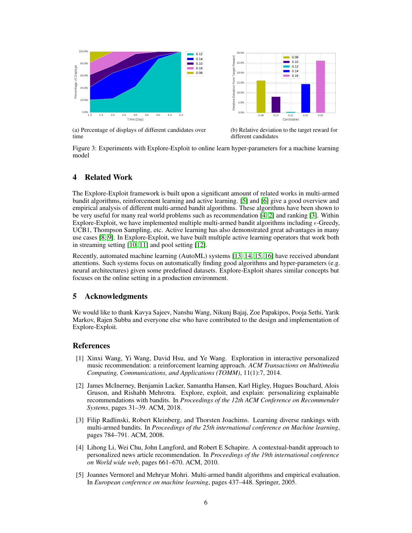<span id="page-5-5"></span>

(a) Percentage of displays of different candidates over time

(b) Relative deviation to the target reward for different candidates

Figure 3: Experiments with Explore-Exploit to online learn hyper-parameters for a machine learning model

# 4 Related Work

The Explore-Exploit framework is built upon a significant amount of related works in multi-armed bandit algorithms, reinforcement learning and active learning. [\[5\]](#page-5-4) and [\[6\]](#page-6-0) give a good overview and empirical analysis of different multi-armed bandit algorithms. These algorithms have been shown to be very useful for many real world problems such as recommendation [\[4,](#page-5-3) [2\]](#page-5-1) and ranking [\[3\]](#page-5-2). Within Explore-Exploit, we have implemented multiple multi-armed bandit algorithms including  $\epsilon$ -Greedy, UCB1, Thompson Sampling, etc. Active learning has also demonstrated great advantages in many use cases [\[8,](#page-6-2) [9\]](#page-6-3). In Explore-Exploit, we have built multiple active learning operators that work both in streaming setting [\[10,](#page-6-4) [11\]](#page-6-5) and pool setting [\[12\]](#page-6-6).

Recently, automated machine learning (AutoML) systems [\[13,](#page-6-7) [14,](#page-6-8) [15,](#page-6-9) [16\]](#page-6-10) have received abundant attentions. Such systems focus on automatically finding good algorithms and hyper-parameters (e.g. neural architectures) given some predefined datasets. Explore-Exploit shares similar concepts but focuses on the online setting in a production environment.

## 5 Acknowledgments

We would like to thank Kavya Sajeev, Nanshu Wang, Nikunj Bajaj, Zoe Papakipos, Pooja Sethi, Yarik Markov, Rajen Subba and everyone else who have contributed to the design and implementation of Explore-Exploit.

## **References**

- <span id="page-5-0"></span>[1] Xinxi Wang, Yi Wang, David Hsu, and Ye Wang. Exploration in interactive personalized music recommendation: a reinforcement learning approach. *ACM Transactions on Multimedia Computing, Communications, and Applications (TOMM)*, 11(1):7, 2014.
- <span id="page-5-1"></span>[2] James McInerney, Benjamin Lacker, Samantha Hansen, Karl Higley, Hugues Bouchard, Alois Gruson, and Rishabh Mehrotra. Explore, exploit, and explain: personalizing explainable recommendations with bandits. In *Proceedings of the 12th ACM Conference on Recommender Systems*, pages 31–39. ACM, 2018.
- <span id="page-5-2"></span>[3] Filip Radlinski, Robert Kleinberg, and Thorsten Joachims. Learning diverse rankings with multi-armed bandits. In *Proceedings of the 25th international conference on Machine learning*, pages 784–791. ACM, 2008.
- <span id="page-5-3"></span>[4] Lihong Li, Wei Chu, John Langford, and Robert E Schapire. A contextual-bandit approach to personalized news article recommendation. In *Proceedings of the 19th international conference on World wide web*, pages 661–670. ACM, 2010.
- <span id="page-5-4"></span>[5] Joannes Vermorel and Mehryar Mohri. Multi-armed bandit algorithms and empirical evaluation. In *European conference on machine learning*, pages 437–448. Springer, 2005.